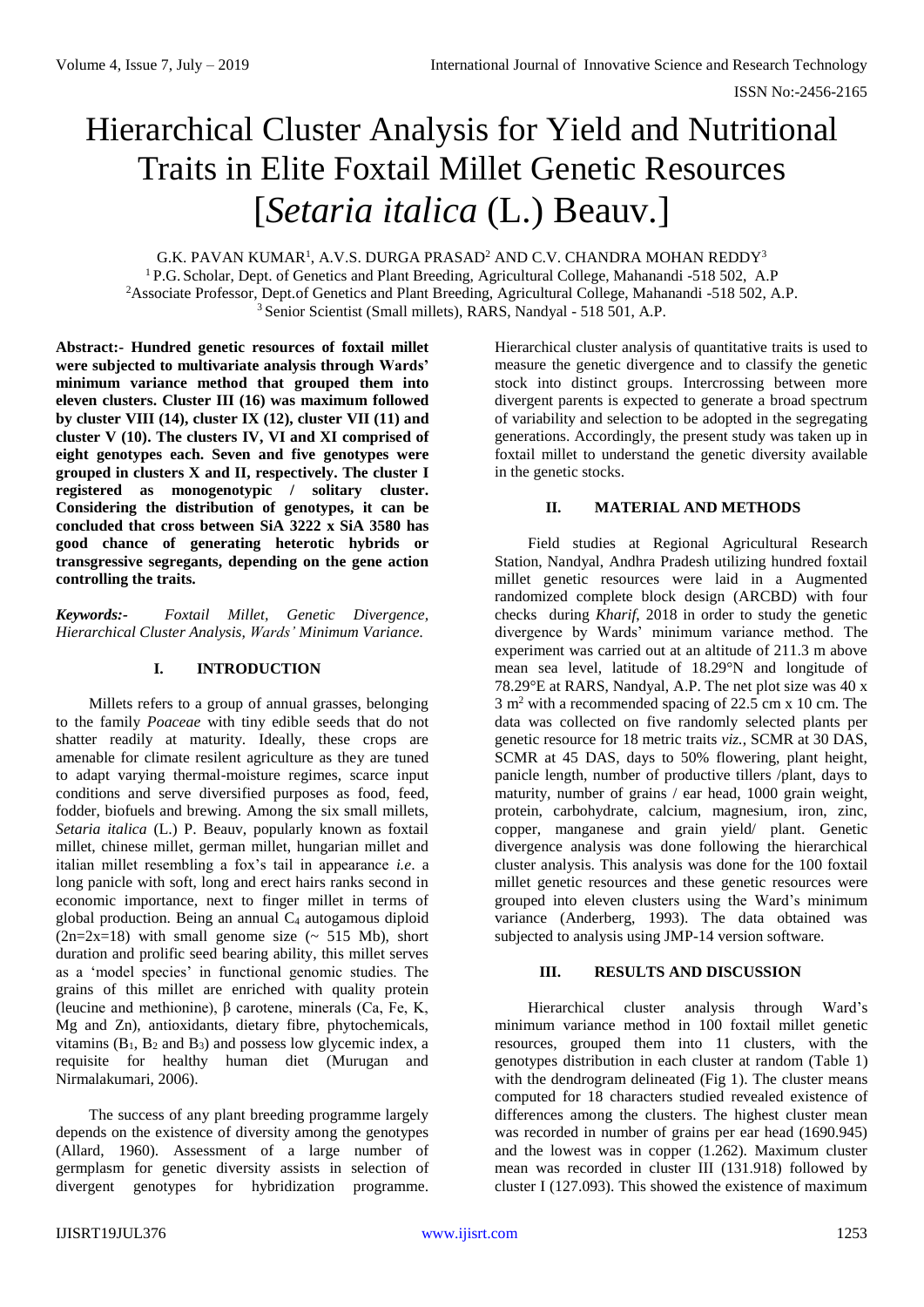# Hierarchical Cluster Analysis for Yield and Nutritional Traits in Elite Foxtail Millet Genetic Resources [*Setaria italica* (L.) Beauv.]

G.K. PAVAN KUMAR $^{\rm l}$ , A.V.S. DURGA PRASAD $^{\rm 2}$  AND C.V. CHANDRA MOHAN REDDY $^{\rm 3}$ 

<sup>1</sup> P.G. Scholar, Dept. of Genetics and Plant Breeding, Agricultural College, Mahanandi -518 502, A.P <sup>2</sup>Associate Professor, Dept.of Genetics and Plant Breeding, Agricultural College, Mahanandi -518 502, A.P. <sup>3</sup> Senior Scientist (Small millets), RARS, Nandyal - 518 501, A.P.

**Abstract:- Hundred genetic resources of foxtail millet were subjected to multivariate analysis through Wards' minimum variance method that grouped them into eleven clusters. Cluster III (16) was maximum followed by cluster VIII (14), cluster IX (12), cluster VII (11) and cluster V (10). The clusters IV, VI and XI comprised of eight genotypes each. Seven and five genotypes were grouped in clusters X and II, respectively. The cluster I registered as monogenotypic / solitary cluster. Considering the distribution of genotypes, it can be concluded that cross between SiA 3222 x SiA 3580 has good chance of generating heterotic hybrids or transgressive segregants, depending on the gene action controlling the traits.** 

*Keywords:- Foxtail Millet, Genetic Divergence, Hierarchical Cluster Analysis, Wards' Minimum Variance.*

### **I. INTRODUCTION**

Millets refers to a group of annual grasses, belonging to the family *Poaceae* with tiny edible seeds that do not shatter readily at maturity. Ideally, these crops are amenable for climate resilent agriculture as they are tuned to adapt varying thermal-moisture regimes, scarce input conditions and serve diversified purposes as food, feed, fodder, biofuels and brewing. Among the six small millets, *Setaria italica* (L.) P. Beauv, popularly known as foxtail millet, chinese millet, german millet, hungarian millet and italian millet resembling a fox's tail in appearance *i.e*. a long panicle with soft, long and erect hairs ranks second in economic importance, next to finger millet in terms of global production. Being an annual  $C_4$  autogamous diploid  $(2n=2x=18)$  with small genome size ( $\sim$  515 Mb), short duration and prolific seed bearing ability, this millet serves as a 'model species' in functional genomic studies. The grains of this millet are enriched with quality protein (leucine and methionine), β carotene, minerals (Ca, Fe, K, Mg and Zn), antioxidants, dietary fibre, phytochemicals, vitamins  $(B_1, B_2 \text{ and } B_3)$  and possess low glycemic index, a requisite for healthy human diet (Murugan and Nirmalakumari, 2006).

The success of any plant breeding programme largely depends on the existence of diversity among the genotypes (Allard, 1960). Assessment of a large number of germplasm for genetic diversity assists in selection of divergent genotypes for hybridization programme. Hierarchical cluster analysis of quantitative traits is used to measure the genetic divergence and to classify the genetic stock into distinct groups. Intercrossing between more divergent parents is expected to generate a broad spectrum of variability and selection to be adopted in the segregating generations. Accordingly, the present study was taken up in foxtail millet to understand the genetic diversity available in the genetic stocks.

### **II. MATERIAL AND METHODS**

Field studies at Regional Agricultural Research Station, Nandyal, Andhra Pradesh utilizing hundred foxtail millet genetic resources were laid in a Augmented randomized complete block design (ARCBD) with four checks during *Kharif*, 2018 in order to study the genetic divergence by Wards' minimum variance method. The experiment was carried out at an altitude of 211.3 m above mean sea level, latitude of 18.29°N and longitude of 78.29°E at RARS, Nandyal, A.P. The net plot size was 40 x 3 m<sup>2</sup> with a recommended spacing of 22.5 cm x 10 cm. The data was collected on five randomly selected plants per genetic resource for 18 metric traits *viz.*, SCMR at 30 DAS, SCMR at 45 DAS, days to 50% flowering, plant height, panicle length, number of productive tillers /plant, days to maturity, number of grains / ear head, 1000 grain weight, protein, carbohydrate, calcium, magnesium, iron, zinc, copper, manganese and grain yield/ plant. Genetic divergence analysis was done following the hierarchical cluster analysis. This analysis was done for the 100 foxtail millet genetic resources and these genetic resources were grouped into eleven clusters using the Ward's minimum variance (Anderberg, 1993). The data obtained was subjected to analysis using JMP-14 version software.

### **III. RESULTS AND DISCUSSION**

Hierarchical cluster analysis through Ward's minimum variance method in 100 foxtail millet genetic resources, grouped them into 11 clusters, with the genotypes distribution in each cluster at random (Table 1) with the dendrogram delineated (Fig 1). The cluster means computed for 18 characters studied revealed existence of differences among the clusters. The highest cluster mean was recorded in number of grains per ear head (1690.945) and the lowest was in copper (1.262). Maximum cluster mean was recorded in cluster III (131.918) followed by cluster I (127.093). This showed the existence of maximum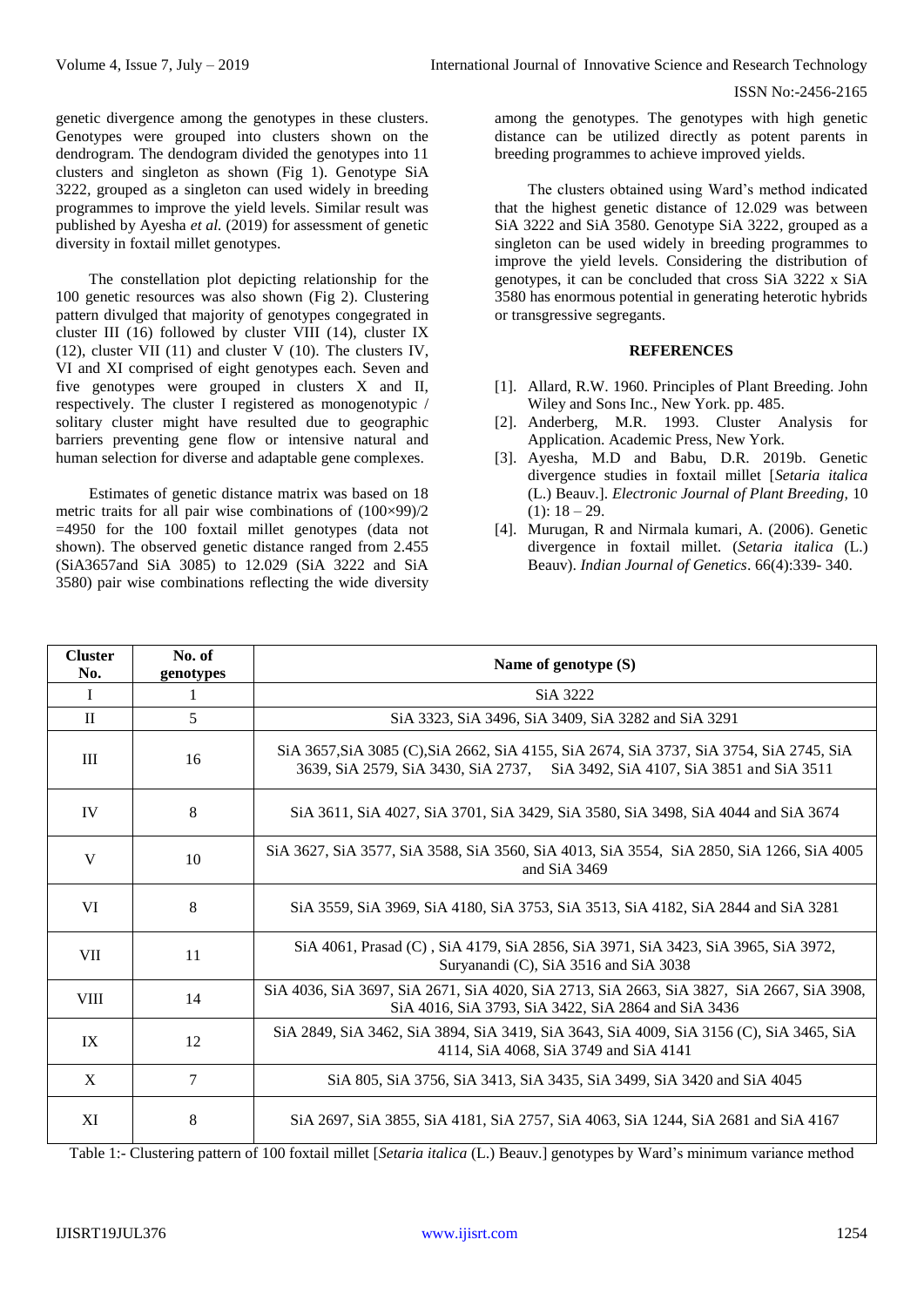genetic divergence among the genotypes in these clusters. Genotypes were grouped into clusters shown on the dendrogram. The dendogram divided the genotypes into 11 clusters and singleton as shown (Fig 1). Genotype SiA 3222*,* grouped as a singleton can used widely in breeding programmes to improve the yield levels. Similar result was published by Ayesha *et al.* (2019) for assessment of genetic diversity in foxtail millet genotypes.

The constellation plot depicting relationship for the 100 genetic resources was also shown (Fig 2). Clustering pattern divulged that majority of genotypes congegrated in cluster III (16) followed by cluster VIII (14), cluster IX (12), cluster VII (11) and cluster V (10). The clusters IV, VI and XI comprised of eight genotypes each. Seven and five genotypes were grouped in clusters X and II, respectively. The cluster I registered as monogenotypic / solitary cluster might have resulted due to geographic barriers preventing gene flow or intensive natural and human selection for diverse and adaptable gene complexes.

Estimates of genetic distance matrix was based on 18 metric traits for all pair wise combinations of (100×99)/2 =4950 for the 100 foxtail millet genotypes (data not shown). The observed genetic distance ranged from 2.455 (SiA3657and SiA 3085) to 12.029 (SiA 3222 and SiA 3580) pair wise combinations reflecting the wide diversity

among the genotypes. The genotypes with high genetic distance can be utilized directly as potent parents in breeding programmes to achieve improved yields.

The clusters obtained using Ward's method indicated that the highest genetic distance of 12.029 was between SiA 3222 and SiA 3580. Genotype SiA 3222*,* grouped as a singleton can be used widely in breeding programmes to improve the yield levels. Considering the distribution of genotypes, it can be concluded that cross SiA 3222 x SiA 3580 has enormous potential in generating heterotic hybrids or transgressive segregants.

## **REFERENCES**

- [1]. Allard, R.W. 1960. Principles of Plant Breeding. John Wiley and Sons Inc., New York. pp. 485.
- [2]. Anderberg, M.R. 1993. Cluster Analysis for Application. Academic Press, New York.
- [3]. Ayesha, M.D and Babu, D.R. 2019b. Genetic divergence studies in foxtail millet [*Setaria italica* (L.) Beauv.]. *Electronic Journal of Plant Breeding,* 10  $(1): 18 - 29.$
- [4]. Murugan, R and Nirmala kumari, A. (2006). Genetic divergence in foxtail millet*.* (*Setaria italica* (L.) Beauv). *Indian Journal of Genetics*. 66(4):339- 340.

| <b>Cluster</b><br>No. | No. of<br>genotypes | Name of genotype (S)                                                                                                                                                     |  |  |  |  |  |  |  |  |  |
|-----------------------|---------------------|--------------------------------------------------------------------------------------------------------------------------------------------------------------------------|--|--|--|--|--|--|--|--|--|
| I                     | Ι.                  | SiA 3222                                                                                                                                                                 |  |  |  |  |  |  |  |  |  |
| $\rm{II}$             | 5                   | SiA 3323, SiA 3496, SiA 3409, SiA 3282 and SiA 3291                                                                                                                      |  |  |  |  |  |  |  |  |  |
| Ш                     | 16                  | SiA 3657, SiA 3085 (C), SiA 2662, SiA 4155, SiA 2674, SiA 3737, SiA 3754, SiA 2745, SiA<br>3639, SiA 2579, SiA 3430, SiA 2737, SiA 3492, SiA 4107, SiA 3851 and SiA 3511 |  |  |  |  |  |  |  |  |  |
| IV                    | 8                   | SiA 3611, SiA 4027, SiA 3701, SiA 3429, SiA 3580, SiA 3498, SiA 4044 and SiA 3674                                                                                        |  |  |  |  |  |  |  |  |  |
| V                     | 10                  | SiA 3627, SiA 3577, SiA 3588, SiA 3560, SiA 4013, SiA 3554, SiA 2850, SiA 1266, SiA 4005<br>and $SiA$ 3469                                                               |  |  |  |  |  |  |  |  |  |
| VI                    | 8                   | SiA 3559, SiA 3969, SiA 4180, SiA 3753, SiA 3513, SiA 4182, SiA 2844 and SiA 3281                                                                                        |  |  |  |  |  |  |  |  |  |
| VII                   | 11                  | SiA 4061, Prasad (C), SiA 4179, SiA 2856, SiA 3971, SiA 3423, SiA 3965, SiA 3972,<br>Suryanandi (C), SiA 3516 and SiA 3038                                               |  |  |  |  |  |  |  |  |  |
| <b>VIII</b>           | 14                  | SiA 4036, SiA 3697, SiA 2671, SiA 4020, SiA 2713, SiA 2663, SiA 3827, SiA 2667, SiA 3908,<br>SiA 4016, SiA 3793, SiA 3422, SiA 2864 and SiA 3436                         |  |  |  |  |  |  |  |  |  |
| IX                    | 12                  | SiA 2849, SiA 3462, SiA 3894, SiA 3419, SiA 3643, SiA 4009, SiA 3156 (C), SiA 3465, SiA<br>4114, SiA 4068, SiA 3749 and SiA 4141                                         |  |  |  |  |  |  |  |  |  |
| X                     | 7                   | SiA 805, SiA 3756, SiA 3413, SiA 3435, SiA 3499, SiA 3420 and SiA 4045                                                                                                   |  |  |  |  |  |  |  |  |  |
| XI                    | 8                   | SiA 2697, SiA 3855, SiA 4181, SiA 2757, SiA 4063, SiA 1244, SiA 2681 and SiA 4167                                                                                        |  |  |  |  |  |  |  |  |  |

Table 1:- Clustering pattern of 100 foxtail millet [*Setaria italica* (L.) Beauv.] genotypes by Ward's minimum variance method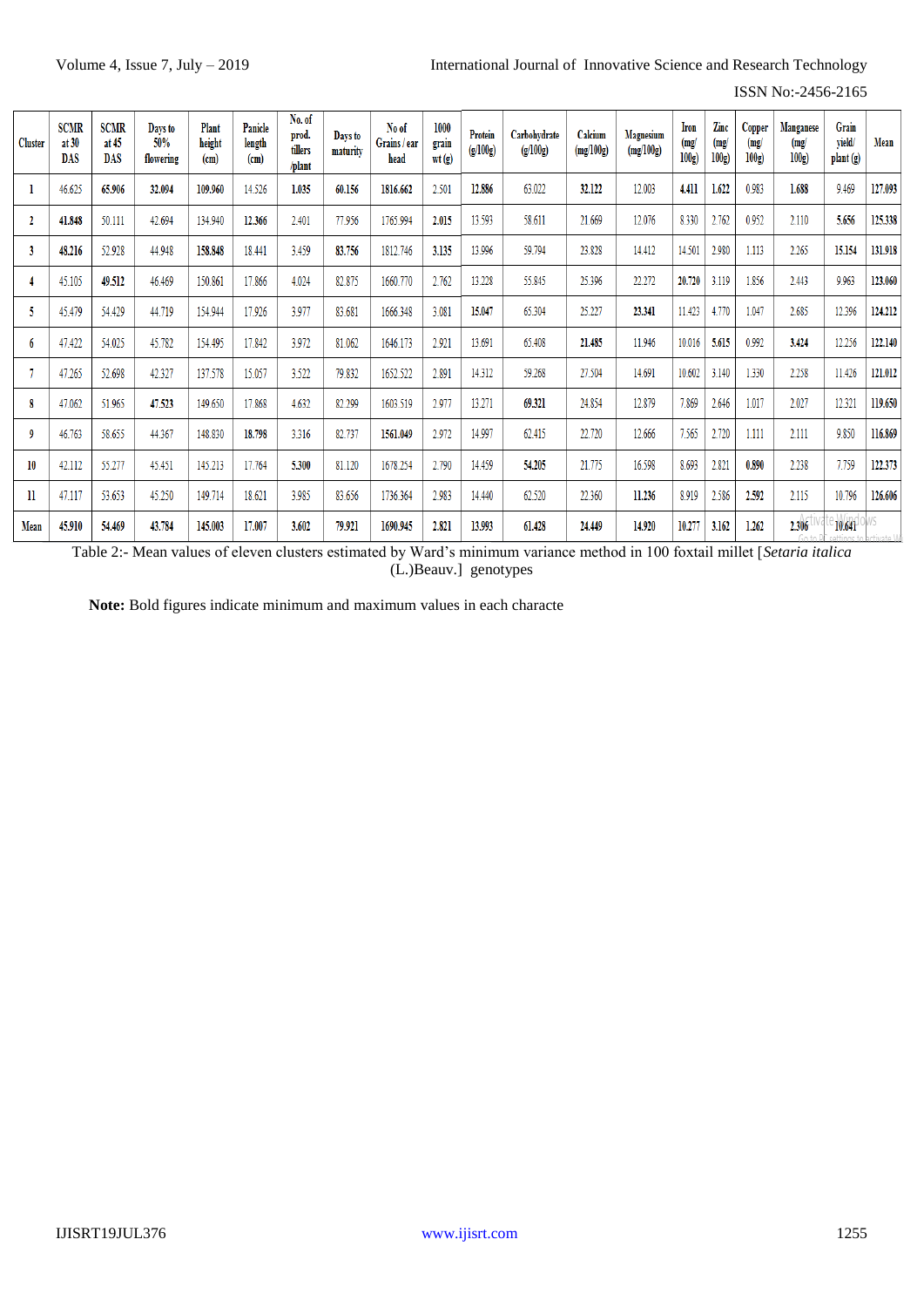ISSN No:-2456-2165

| <b>Cluster</b> | <b>SCMR</b><br>at 30<br>DAS | <b>SCMR</b><br>at $45$<br><b>DAS</b> | Days to<br>50%<br>flowering | Plant<br>height<br>(cm) | Panicle<br>length<br>(c <sub>m</sub> ) | No. of<br>prod.<br>tillers<br>/plant | Days to<br>maturity | No of<br>Grains / ear<br>head | 1000<br>grain<br>wt(g) | Protein<br>(g/100g) | Carbohydrate<br>(g/100g) | Calcium<br>(mg/100g) | <b>Magnesium</b><br>(mg/100g) | Iron<br>(mg)<br>100g | Zinc<br>(mg)<br>100g | Copper<br>(mg/<br>100g | Manganese<br>(mg)<br>100g | Grain<br>yield/<br>plant (g) | Mean    |
|----------------|-----------------------------|--------------------------------------|-----------------------------|-------------------------|----------------------------------------|--------------------------------------|---------------------|-------------------------------|------------------------|---------------------|--------------------------|----------------------|-------------------------------|----------------------|----------------------|------------------------|---------------------------|------------------------------|---------|
|                | 46.625                      | 65.906                               | 32.094                      | 109.960                 | 14.526                                 | 1.035                                | 60.156              | 1816.662                      | 2.501                  | 12.886              | 63.022                   | 32.122               | 12.003                        | 4.411                | 1.622                | 0.983                  | 1.688                     | 9.469                        | 127.093 |
| 2              | 41.848                      | 50.111                               | 42.694                      | 134.940                 | 12.366                                 | 2.401                                | 77.956              | 1765.994                      | 2.015                  | 13.593              | 58.611                   | 21.669               | 12.076                        | 8.330                | 2.762                | 0.952                  | 2.110                     | 5.656                        | 125.338 |
| 3              | 48.216                      | 52.928                               | 44.948                      | 158.848                 | 18.441                                 | 3.459                                | 83.756              | 1812.746                      | 3.135                  | 13.996              | 59.794                   | 23.828               | 14.412                        | 14.501               | 2.980                | 1.113                  | 2.265                     | 15.154                       | 131.918 |
|                | 45.105                      | 49.512                               | 46.469                      | 150.861                 | 17.866                                 | 4.024                                | 82.875              | 1660.770                      | 2.762                  | 13.228              | 55.845                   | 25.396               | 22.272                        | 20.720               | 3.119                | 1.856                  | 2.443                     | 9.963                        | 123.060 |
| 5              | 45.479                      | 54.429                               | 44.719                      | 154.944                 | 17.926                                 | 3.977                                | 83.681              | 1666.348                      | 3.081                  | 15.047              | 65.304                   | 25.227               | 23.341                        | 11.423               | 4.770                | 1.047                  | 2.685                     | 12.396                       | 124.212 |
| 6              | 47.422                      | 54.025                               | 45.782                      | 154.495                 | 17.842                                 | 3.972                                | 81.062              | 1646.173                      | 2.921                  | 13.691              | 65.408                   | 21.485               | 11.946                        | 10.016               | 5.615                | 0.992                  | 3.424                     | 12.256                       | 122.140 |
|                | 47.265                      | 52.698                               | 42.327                      | 137.578                 | 15.057                                 | 3.522                                | 79.832              | 1652.522                      | 2.891                  | 14.312              | 59.268                   | 27.504               | 14.691                        | 10.602               | 3.140                | 1.330                  | 2.258                     | 11.426                       | 121.012 |
| 8              | 47.062                      | 51.965                               | 47.523                      | 149.650                 | 17.868                                 | 4.632                                | 82.299              | 1603.519                      | 2.977                  | 13.271              | 69.321                   | 24.854               | 12.879                        | 7.869                | 2.646                | 1.017                  | 2.027                     | 12.321                       | 119.650 |
| -9             | 46.763                      | 58.655                               | 44.367                      | 148.830                 | 18.798                                 | 3.316                                | 82.737              | 1561.049                      | 2.972                  | 14.997              | 62.415                   | 22.720               | 12.666                        | 7.565                | 2.720                | 1.111                  | 2.111                     | 9.850                        | 116.869 |
| 10             | 42.112                      | 55.277                               | 45.451                      | 145.213                 | 17.764                                 | 5.300                                | 81.120              | 1678.254                      | 2.790                  | 14.459              | 54.205                   | 21.775               | 16.598                        | 8.693                | 2.821                | 0.890                  | 2.238                     | 7.759                        | 122.373 |
| 11             | 47.117                      | 53.653                               | 45.250                      | 149.714                 | 18.621                                 | 3.985                                | 83.656              | 1736.364                      | 2.983                  | 14.440              | 62.520                   | 22.360               | 11.236                        | 8.919                | 2.586                | 2.592                  | 2.115                     | 10.796                       | 126.606 |
| Mean           | 45.910                      | 54.469                               | 43.784                      | 145.003                 | 17.007                                 | 3.602                                | 79.921              | 1690.945                      | 2.821                  | 13.993              | 61.428                   | 24.449               | 14.920                        | 10.277               | 3.162                | 1.262                  | 2.306<br>Go to            | 10.641                       |         |

Table 2:- Mean values of eleven clusters estimated by Ward's minimum variance method in 100 foxtail millet [*Setaria italica*  (L.)Beauv.] genotypes

**Note:** Bold figures indicate minimum and maximum values in each characte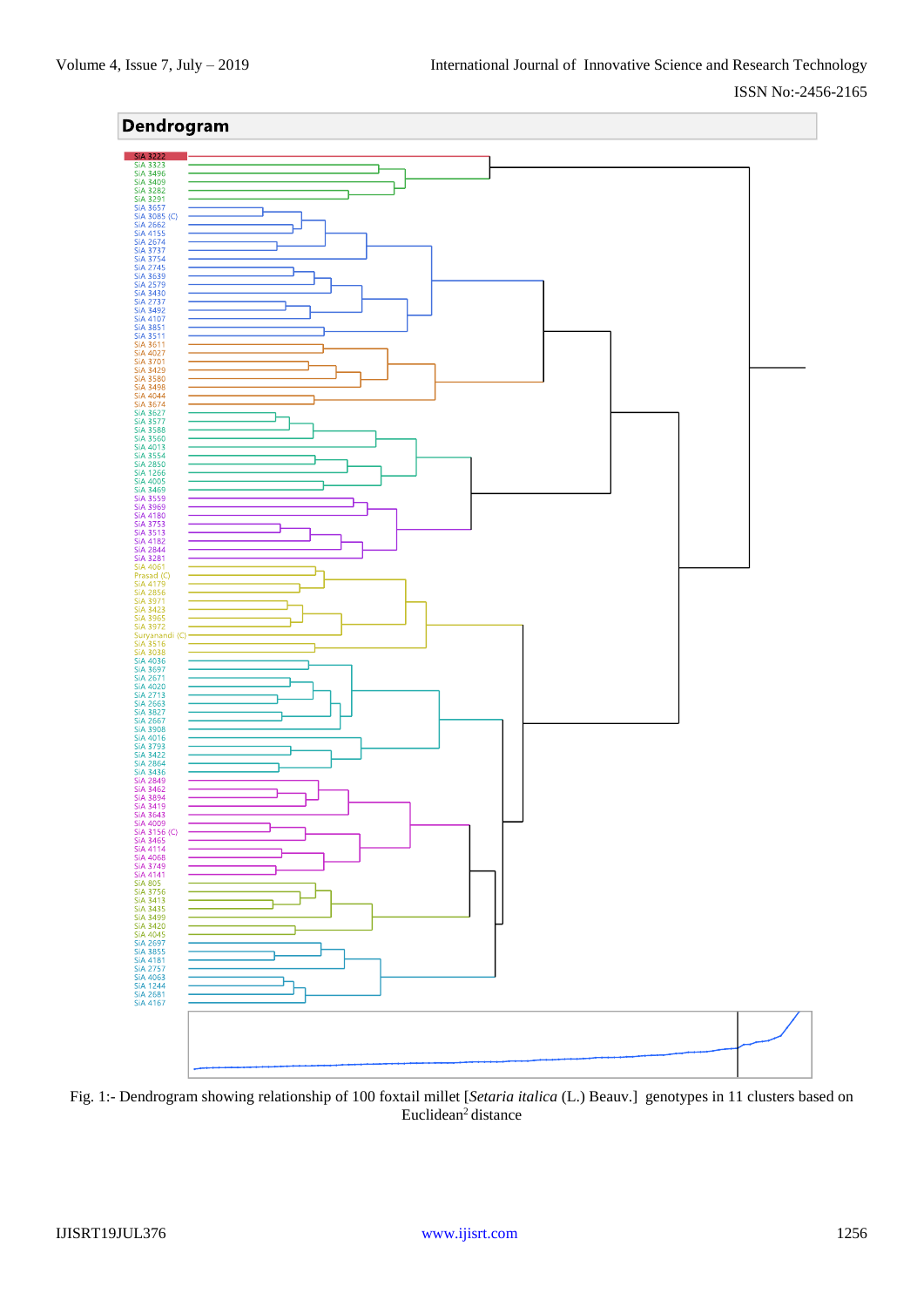### ISSN No:-2456-2165



Fig. 1:- Dendrogram showing relationship of 100 foxtail millet [*Setaria italica* (L.) Beauv.] genotypes in 11 clusters based on Euclidean<sup>2</sup> distance